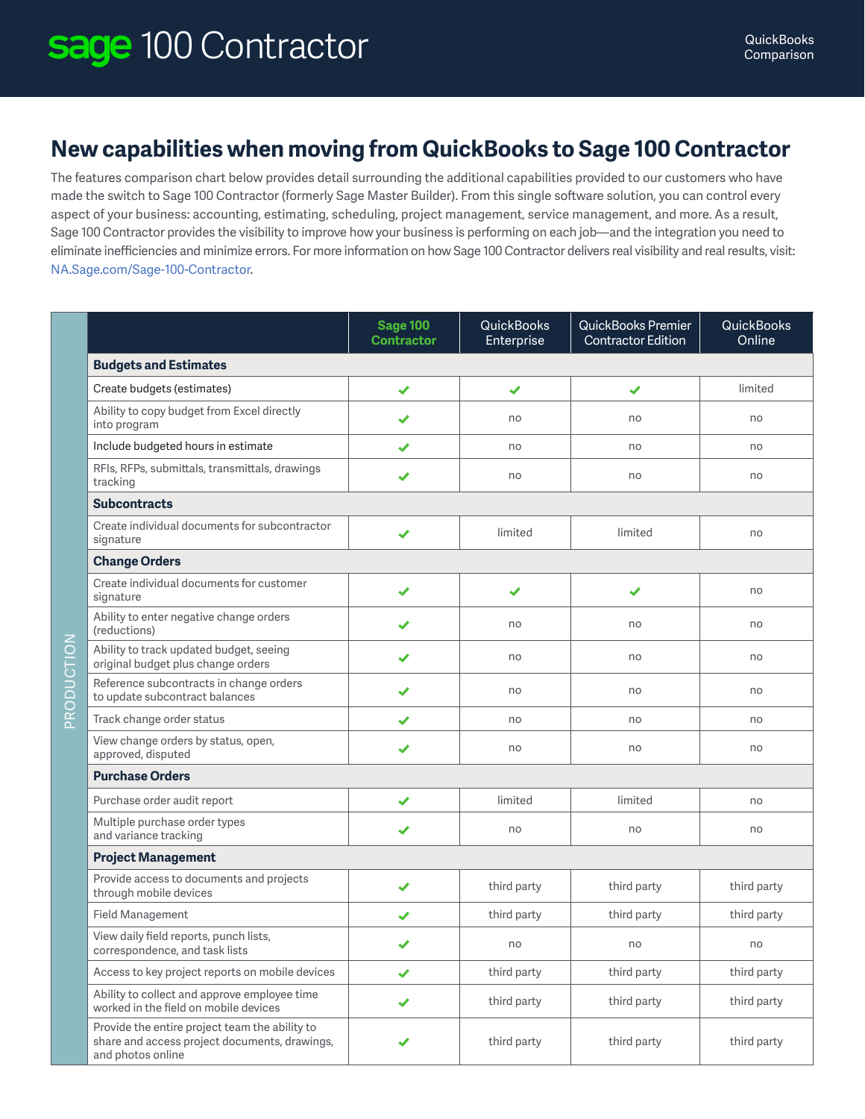## **New capabilities when moving from QuickBooks to Sage 100 Contractor**

The features comparison chart below provides detail surrounding the additional capabilities provided to our customers who have made the switch to Sage 100 Contractor (formerly Sage Master Builder). From this single software solution, you can control every aspect of your business: accounting, estimating, scheduling, project management, service management, and more. As a result, Sage 100 Contractor provides the visibility to improve how your business is performing on each job—and the integration you need to eliminate inefficiencies and minimize errors. For more information on how Sage 100 Contractor delivers real visibility and real results, visit: NA.Sage.com/Sage-100-Contractor.

|                                                                                                                      | <b>Sage 100</b><br><b>Contractor</b> | <b>QuickBooks</b><br>Enterprise | QuickBooks Premier<br><b>Contractor Edition</b> | <b>QuickBooks</b><br>Online |  |  |  |
|----------------------------------------------------------------------------------------------------------------------|--------------------------------------|---------------------------------|-------------------------------------------------|-----------------------------|--|--|--|
| <b>Budgets and Estimates</b>                                                                                         |                                      |                                 |                                                 |                             |  |  |  |
| Create budgets (estimates)                                                                                           | $\checkmark$                         | ✔                               | ✔                                               | limited                     |  |  |  |
| Ability to copy budget from Excel directly<br>into program                                                           | ✔                                    | no                              | no                                              | no                          |  |  |  |
| Include budgeted hours in estimate                                                                                   | ✔                                    | no                              | no                                              | no                          |  |  |  |
| RFIs, RFPs, submittals, transmittals, drawings<br>tracking                                                           | ✔                                    | no                              | no                                              | no                          |  |  |  |
| <b>Subcontracts</b>                                                                                                  |                                      |                                 |                                                 |                             |  |  |  |
| Create individual documents for subcontractor<br>signature                                                           | ✔                                    | limited                         | limited                                         | no                          |  |  |  |
| <b>Change Orders</b>                                                                                                 |                                      |                                 |                                                 |                             |  |  |  |
| Create individual documents for customer<br>signature                                                                | ✔                                    | ✔                               | ✔                                               | no                          |  |  |  |
| Ability to enter negative change orders<br>(reductions)<br>Z                                                         | ✔                                    | no                              | no                                              | no                          |  |  |  |
| Ability to track updated budget, seeing<br>original budget plus change orders                                        | ✔                                    | no                              | no                                              | no                          |  |  |  |
| PRODUCTIO<br>Reference subcontracts in change orders<br>to update subcontract balances                               | ✔                                    | no                              | no                                              | no                          |  |  |  |
| Track change order status                                                                                            | ✔                                    | no                              | no                                              | no                          |  |  |  |
| View change orders by status, open,<br>approved, disputed                                                            | ✔                                    | no                              | no                                              | no                          |  |  |  |
| <b>Purchase Orders</b>                                                                                               |                                      |                                 |                                                 |                             |  |  |  |
| Purchase order audit report                                                                                          | ✔                                    | limited                         | limited                                         | no                          |  |  |  |
| Multiple purchase order types<br>and variance tracking                                                               | ✔                                    | no                              | no                                              | no                          |  |  |  |
| <b>Project Management</b>                                                                                            |                                      |                                 |                                                 |                             |  |  |  |
| Provide access to documents and projects<br>through mobile devices                                                   | ✔                                    | third party                     | third party                                     | third party                 |  |  |  |
| Field Management                                                                                                     | ✔                                    | third party                     | third party                                     | third party                 |  |  |  |
| View daily field reports, punch lists,<br>correspondence, and task lists                                             | ✔                                    | no                              | no                                              | no                          |  |  |  |
| Access to key project reports on mobile devices                                                                      | ✔                                    | third party                     | third party                                     | third party                 |  |  |  |
| Ability to collect and approve employee time<br>worked in the field on mobile devices                                | ✔                                    | third party                     | third party                                     | third party                 |  |  |  |
| Provide the entire project team the ability to<br>share and access project documents, drawings,<br>and photos online | ✔                                    | third party                     | third party                                     | third party                 |  |  |  |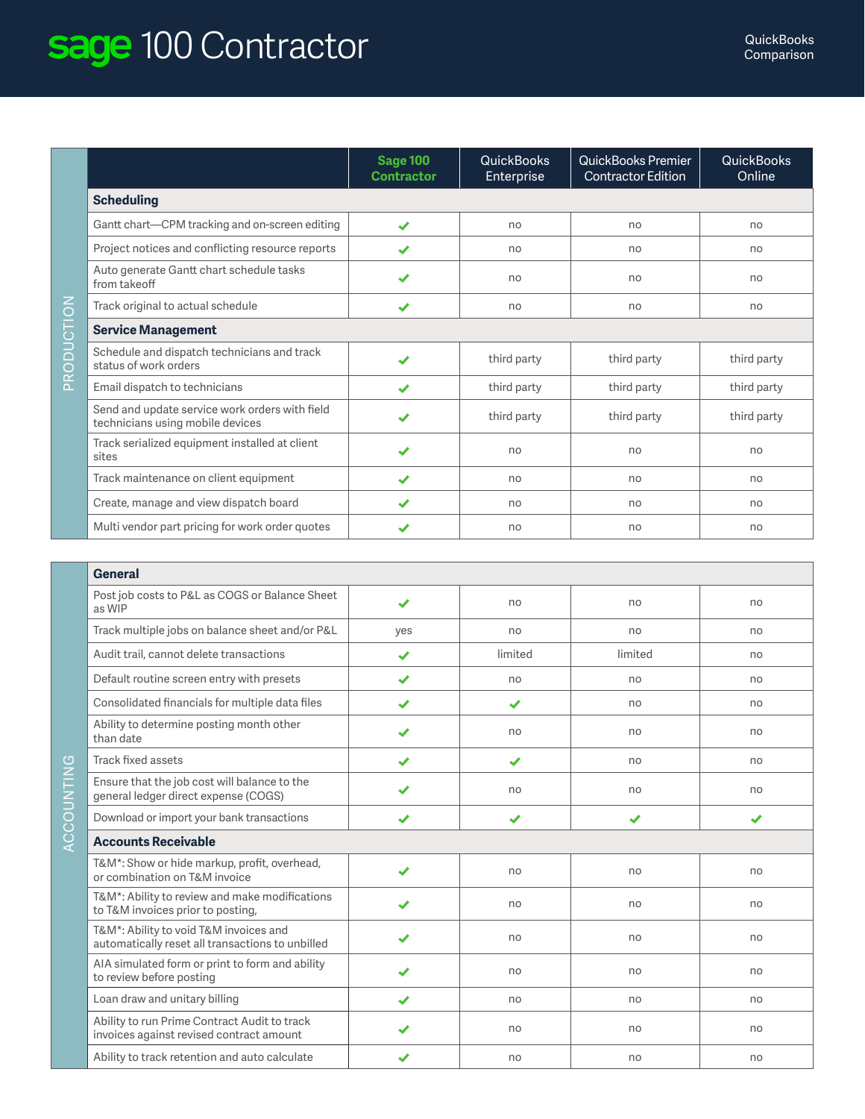## sage 100 Contractor and the comparison

|            |                                                                                    | <b>Sage 100</b><br><b>Contractor</b> | <b>QuickBooks</b><br><b>Enterprise</b> | QuickBooks Premier<br>Contractor Edition | <b>QuickBooks</b><br>Online |  |  |
|------------|------------------------------------------------------------------------------------|--------------------------------------|----------------------------------------|------------------------------------------|-----------------------------|--|--|
|            | <b>Scheduling</b>                                                                  |                                      |                                        |                                          |                             |  |  |
|            | Gantt chart-CPM tracking and on-screen editing                                     | $\boldsymbol{\mathcal{L}}$           | no                                     | no                                       | no                          |  |  |
|            | Project notices and conflicting resource reports                                   | $\boldsymbol{\mathcal{L}}$           | no                                     | no                                       | no                          |  |  |
|            | Auto generate Gantt chart schedule tasks<br>from takeoff                           |                                      | no                                     | no                                       | no                          |  |  |
|            | Track original to actual schedule                                                  | ✔                                    | no                                     | no                                       | no                          |  |  |
|            | <b>Service Management</b>                                                          |                                      |                                        |                                          |                             |  |  |
| PRODUCTION | Schedule and dispatch technicians and track<br>status of work orders               |                                      | third party                            | third party                              | third party                 |  |  |
|            | Email dispatch to technicians                                                      | $\boldsymbol{\mathcal{L}}$           | third party                            | third party                              | third party                 |  |  |
|            | Send and update service work orders with field<br>technicians using mobile devices |                                      | third party                            | third party                              | third party                 |  |  |
|            | Track serialized equipment installed at client<br>sites                            | ✔                                    | no                                     | no                                       | no                          |  |  |
|            | Track maintenance on client equipment                                              | $\boldsymbol{\mathcal{L}}$           | no                                     | no                                       | no                          |  |  |
|            | Create, manage and view dispatch board                                             | $\checkmark$                         | no                                     | no                                       | no                          |  |  |
|            | Multi vendor part pricing for work order quotes                                    |                                      | no                                     | no                                       | no                          |  |  |

| <b>General</b>                                                                             |                      |                       |         |                       |  |
|--------------------------------------------------------------------------------------------|----------------------|-----------------------|---------|-----------------------|--|
| Post job costs to P&L as COGS or Balance Sheet<br>as WIP                                   | ✔                    | no                    | no      | no                    |  |
| Track multiple jobs on balance sheet and/or P&L                                            | yes                  | no                    | no      | no                    |  |
| Audit trail, cannot delete transactions                                                    | ✔                    | limited               | limited | no                    |  |
| Default routine screen entry with presets                                                  | ✔                    | no                    | no      | no                    |  |
| Consolidated financials for multiple data files                                            | ✔                    | ✔                     | no      | no                    |  |
| Ability to determine posting month other<br>than date                                      | $\blacktriangledown$ | no                    | no      | no                    |  |
| Track fixed assets                                                                         | ✔                    | ✔                     | no      | no                    |  |
| Ensure that the job cost will balance to the<br>general ledger direct expense (COGS)       | ✔                    | no                    | no      | no                    |  |
| Download or import your bank transactions                                                  | ✔                    | $\blacktriangleright$ | ✔       | $\blacktriangleright$ |  |
| <b>Accounts Receivable</b>                                                                 |                      |                       |         |                       |  |
| T&M*: Show or hide markup, profit, overhead,<br>or combination on T&M invoice              | ✔                    | no                    | no      | no                    |  |
| T&M*: Ability to review and make modifications<br>to T&M invoices prior to posting,        | ✔                    | no                    | no      | no                    |  |
| T&M*: Ability to void T&M invoices and<br>automatically reset all transactions to unbilled |                      | no                    | no      | no                    |  |
| AIA simulated form or print to form and ability<br>to review before posting                |                      | no                    | no      | no                    |  |
| Loan draw and unitary billing                                                              | ✔                    | no                    | no      | no                    |  |
| Ability to run Prime Contract Audit to track<br>invoices against revised contract amount   | ✔                    | no                    | no      | no                    |  |
| Ability to track retention and auto calculate                                              | ✔                    | no                    | no      | no                    |  |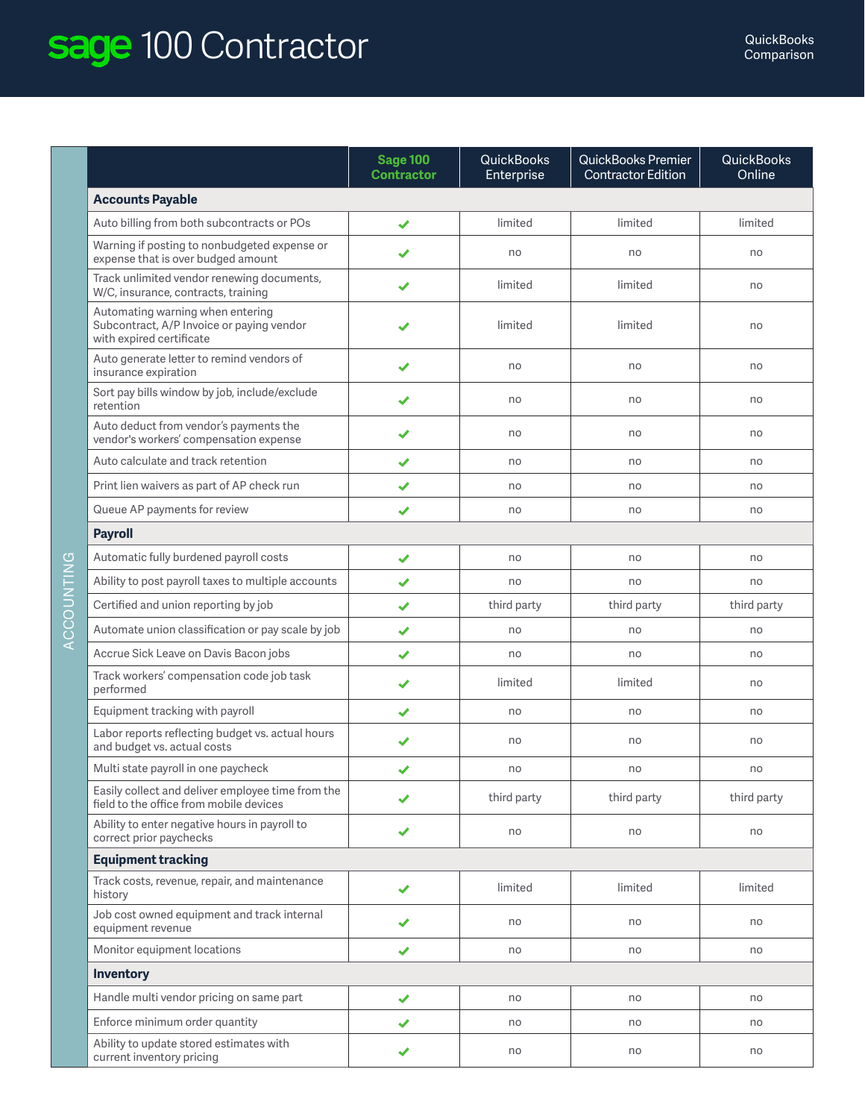## Sage 100 Contractor **Comparison**

|                                                                                                           | <b>Sage 100</b><br><b>Contractor</b> | <b>QuickBooks</b><br>Enterprise | <b>QuickBooks Premier</b><br><b>Contractor Edition</b> | <b>QuickBooks</b><br>Online |  |  |  |
|-----------------------------------------------------------------------------------------------------------|--------------------------------------|---------------------------------|--------------------------------------------------------|-----------------------------|--|--|--|
| <b>Accounts Payable</b>                                                                                   |                                      |                                 |                                                        |                             |  |  |  |
| Auto billing from both subcontracts or POs                                                                | ✔                                    | limited                         | limited                                                | limited                     |  |  |  |
| Warning if posting to nonbudgeted expense or<br>expense that is over budged amount                        | ✔                                    | no                              | no                                                     | no                          |  |  |  |
| Track unlimited vendor renewing documents,<br>W/C, insurance, contracts, training                         | ✔                                    | limited                         | limited                                                | no                          |  |  |  |
| Automating warning when entering<br>Subcontract, A/P Invoice or paying vendor<br>with expired certificate |                                      | limited                         | limited                                                | no                          |  |  |  |
| Auto generate letter to remind vendors of<br>insurance expiration                                         | ✔                                    | no                              | no                                                     | no                          |  |  |  |
| Sort pay bills window by job, include/exclude<br>retention                                                | ✔                                    | no                              | no                                                     | no                          |  |  |  |
| Auto deduct from vendor's payments the<br>vendor's workers' compensation expense                          | ✔                                    | no                              | no                                                     | no                          |  |  |  |
| Auto calculate and track retention                                                                        | ✔                                    | no                              | no                                                     | no                          |  |  |  |
| Print lien waivers as part of AP check run                                                                | $\blacktriangledown$                 | no                              | no                                                     | no                          |  |  |  |
| Queue AP payments for review                                                                              | ✔                                    | no                              | no                                                     | no                          |  |  |  |
| <b>Payroll</b>                                                                                            |                                      |                                 |                                                        |                             |  |  |  |
| Automatic fully burdened payroll costs                                                                    | ✔                                    | no                              | no                                                     | no                          |  |  |  |
| Ability to post payroll taxes to multiple accounts                                                        | ✔                                    | no                              | no                                                     | no                          |  |  |  |
| Certified and union reporting by job                                                                      | ✔                                    | third party                     | third party                                            | third party                 |  |  |  |
| Automate union classification or pay scale by job                                                         | ✔                                    | no                              | no                                                     | no                          |  |  |  |
| Accrue Sick Leave on Davis Bacon jobs                                                                     | ✔                                    | no                              | no                                                     | no                          |  |  |  |
| Track workers' compensation code job task<br>performed                                                    | ✔                                    | limited                         | limited                                                | no                          |  |  |  |
| Equipment tracking with payroll                                                                           | ✔                                    | no                              | no                                                     | no                          |  |  |  |
| Labor reports reflecting budget vs. actual hours<br>and budget vs. actual costs                           |                                      | no                              | no                                                     | no                          |  |  |  |
| Multi state payroll in one paycheck                                                                       | ✔                                    | no                              | no                                                     | no                          |  |  |  |
| Easily collect and deliver employee time from the<br>field to the office from mobile devices              | ✔                                    | third party                     | third party                                            | third party                 |  |  |  |
| Ability to enter negative hours in payroll to<br>correct prior paychecks                                  | ✔                                    | no                              | no                                                     | no                          |  |  |  |
| <b>Equipment tracking</b>                                                                                 |                                      |                                 |                                                        |                             |  |  |  |
| Track costs, revenue, repair, and maintenance<br>history                                                  | ✔                                    | limited                         | limited                                                | limited                     |  |  |  |
| Job cost owned equipment and track internal<br>equipment revenue                                          | $\blacktriangledown$                 | no                              | no                                                     | no                          |  |  |  |
| Monitor equipment locations                                                                               | ✔                                    | no                              | no                                                     | no                          |  |  |  |
| Inventory                                                                                                 |                                      |                                 |                                                        |                             |  |  |  |
| Handle multi vendor pricing on same part                                                                  | ✔                                    | no                              | no                                                     | no                          |  |  |  |
| Enforce minimum order quantity                                                                            | ✔                                    | no                              | no                                                     | no                          |  |  |  |
| Ability to update stored estimates with<br>current inventory pricing                                      | ✔                                    | no                              | no                                                     | no                          |  |  |  |